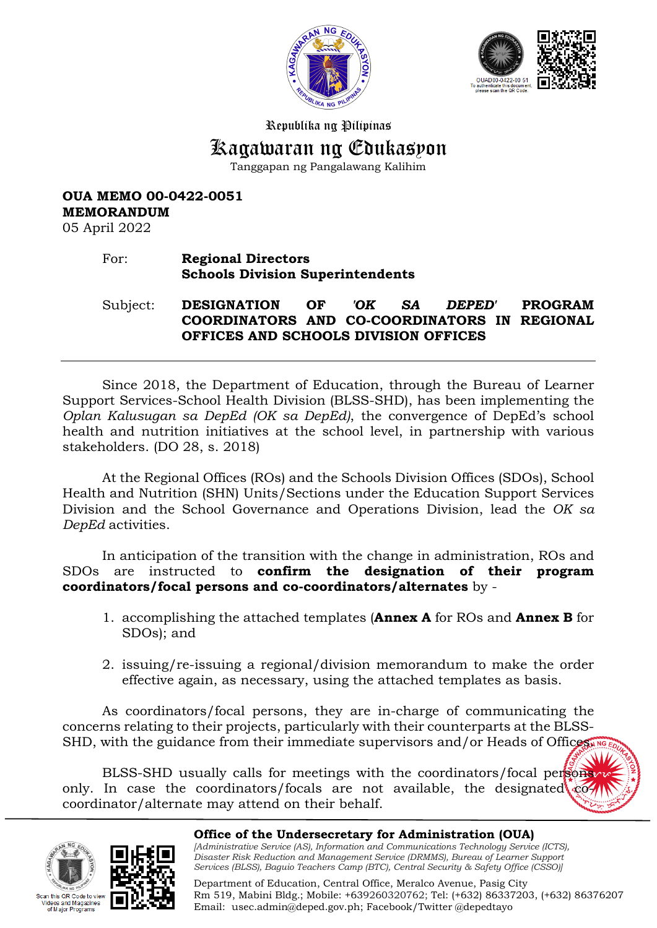



## Republika ng Pilipinas

# Kagawaran ng Edukasyon

Tanggapan ng Pangalawang Kalihim

# **OUA MEMO 00-0422-0051 MEMORANDUM**

05 April 2022

# For: **Regional Directors Schools Division Superintendents**

Subject: **DESIGNATION OF** *'OK SA DEPED'* **PROGRAM COORDINATORS AND CO-COORDINATORS IN REGIONAL OFFICES AND SCHOOLS DIVISION OFFICES**

Since 2018, the Department of Education, through the Bureau of Learner Support Services-School Health Division (BLSS-SHD), has been implementing the *Oplan Kalusugan sa DepEd (OK sa DepEd)*, the convergence of DepEd's school health and nutrition initiatives at the school level, in partnership with various stakeholders. (DO 28, s. 2018)

At the Regional Offices (ROs) and the Schools Division Offices (SDOs), School Health and Nutrition (SHN) Units/Sections under the Education Support Services Division and the School Governance and Operations Division, lead the *OK sa DepEd* activities.

In anticipation of the transition with the change in administration, ROs and SDOs are instructed to **confirm the designation of their program coordinators/focal persons and co-coordinators/alternates** by -

- 1. accomplishing the attached templates (**Annex A** for ROs and **Annex B** for SDOs); and
- 2. issuing/re-issuing a regional/division memorandum to make the order effective again, as necessary, using the attached templates as basis.

As coordinators/focal persons, they are in-charge of communicating the concerns relating to their projects, particularly with their counterparts at the BLSS-SHD, with the guidance from their immediate supervisors and/or Heads of Offices.

BLSS-SHD usually calls for meetings with the coordinators/focal persons only. In case the coordinators/focals are not available, the designated  $\circ$ coordinator/alternate may attend on their behalf.





#### **Office of the Undersecretary for Administration (OUA)** *[Administrative Service (AS), Information and Communications Technology Service (ICTS), Disaster Risk Reduction and Management Service (DRMMS), Bureau of Learner Support*

Email: [usec.admin@deped.gov.ph;](mailto:usec.admin@deped.gov.ph) Facebook/Twitter @depedtayo

*Services (BLSS), Baguio Teachers Camp (BTC), Central Security & Safety Office (CSSO)]* Department of Education, Central Office, Meralco Avenue, Pasig City Rm 519, Mabini Bldg.; Mobile: +639260320762; Tel: (+632) 86337203, (+632) 86376207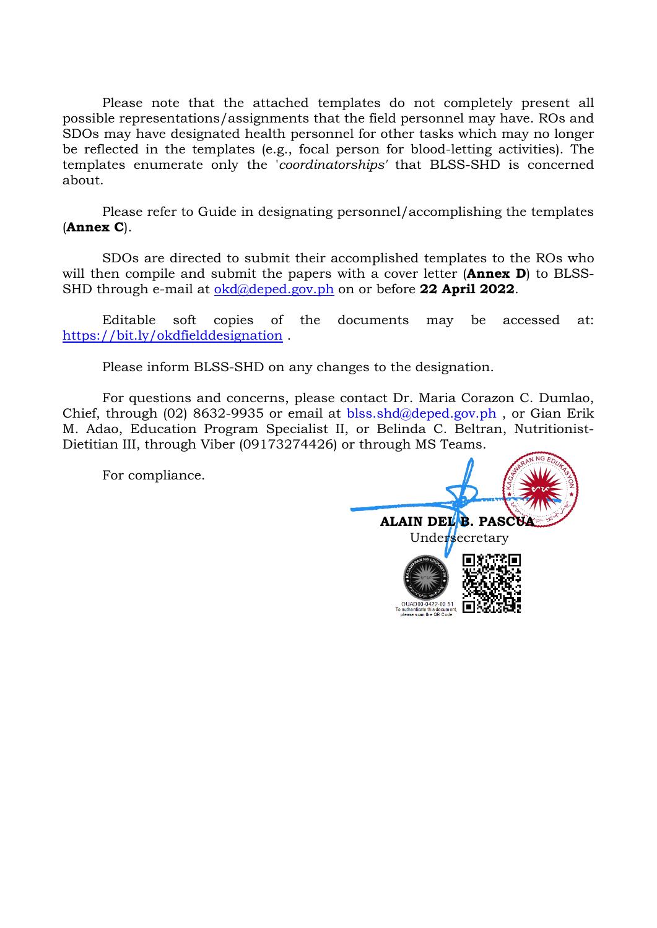Please note that the attached templates do not completely present all possible representations/assignments that the field personnel may have. ROs and SDOs may have designated health personnel for other tasks which may no longer be reflected in the templates (e.g., focal person for blood-letting activities). The templates enumerate only the '*coordinatorships'* that BLSS-SHD is concerned about.

Please refer to Guide in designating personnel/accomplishing the templates (**Annex C**).

SDOs are directed to submit their accomplished templates to the ROs who will then compile and submit the papers with a cover letter (**Annex D**) to BLSS-SHD through e-mail at [okd@deped.gov.ph](mailto:okd@deped.gov.ph) on or before **22 April 2022**.

Editable soft copies of the documents may be accessed at: <https://bit.ly/okdfielddesignation>.

Please inform BLSS-SHD on any changes to the designation.

For questions and concerns, please contact Dr. Maria Corazon C. Dumlao, Chief, through (02) 8632-9935 or email at [blss.shd@deped.gov.ph](mailto:blss.shd@deped.gov.ph) , or Gian Erik M. Adao, Education Program Specialist II, or Belinda C. Beltran, Nutritionist-Dietitian III, through Viber (09173274426) or through MS Teams.

For compliance.

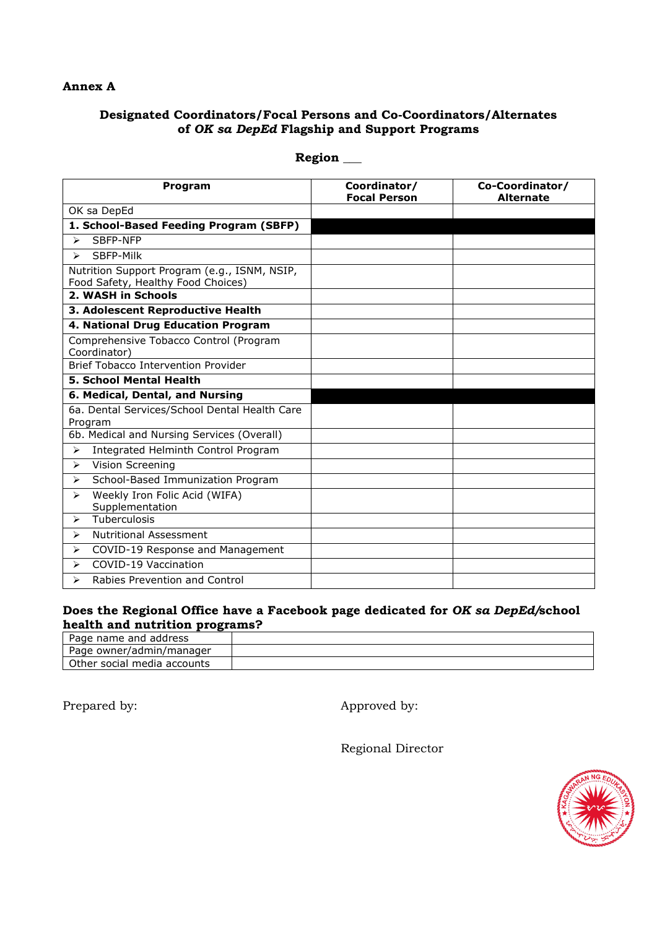#### **Annex A**

## **Designated Coordinators/Focal Persons and Co-Coordinators/Alternates of** *OK sa DepEd* **Flagship and Support Programs**

| <b>Program</b>                                                                     | Coordinator/<br><b>Focal Person</b> | Co-Coordinator/<br><b>Alternate</b> |
|------------------------------------------------------------------------------------|-------------------------------------|-------------------------------------|
| OK sa DepEd                                                                        |                                     |                                     |
| 1. School-Based Feeding Program (SBFP)                                             |                                     |                                     |
| SBFP-NFP<br>↘                                                                      |                                     |                                     |
| SBFP-Milk<br>$\blacktriangleright$                                                 |                                     |                                     |
| Nutrition Support Program (e.g., ISNM, NSIP,<br>Food Safety, Healthy Food Choices) |                                     |                                     |
| 2. WASH in Schools                                                                 |                                     |                                     |
| 3. Adolescent Reproductive Health                                                  |                                     |                                     |
| 4. National Drug Education Program                                                 |                                     |                                     |
| Comprehensive Tobacco Control (Program<br>Coordinator)                             |                                     |                                     |
| <b>Brief Tobacco Intervention Provider</b>                                         |                                     |                                     |
| <b>5. School Mental Health</b>                                                     |                                     |                                     |
| 6. Medical, Dental, and Nursing                                                    |                                     |                                     |
| 6a. Dental Services/School Dental Health Care<br>Program                           |                                     |                                     |
| 6b. Medical and Nursing Services (Overall)                                         |                                     |                                     |
| Integrated Helminth Control Program<br>$\blacktriangleright$                       |                                     |                                     |
| Vision Screening<br>⋗                                                              |                                     |                                     |
| School-Based Immunization Program<br>⋗                                             |                                     |                                     |
| Weekly Iron Folic Acid (WIFA)<br>$\blacktriangleright$<br>Supplementation          |                                     |                                     |
| Tuberculosis<br>⋗                                                                  |                                     |                                     |
| <b>Nutritional Assessment</b><br>⋗                                                 |                                     |                                     |
| COVID-19 Response and Management<br>$\blacktriangleright$                          |                                     |                                     |
| COVID-19 Vaccination<br>⋗                                                          |                                     |                                     |
| Rabies Prevention and Control<br>↘                                                 |                                     |                                     |

**Region \_\_\_**

## **Does the Regional Office have a Facebook page dedicated for** *OK sa DepEd/***school health and nutrition programs?**

| Page name and address       |  |
|-----------------------------|--|
| Page owner/admin/manager    |  |
| Other social media accounts |  |

Prepared by: Approved by:

Regional Director

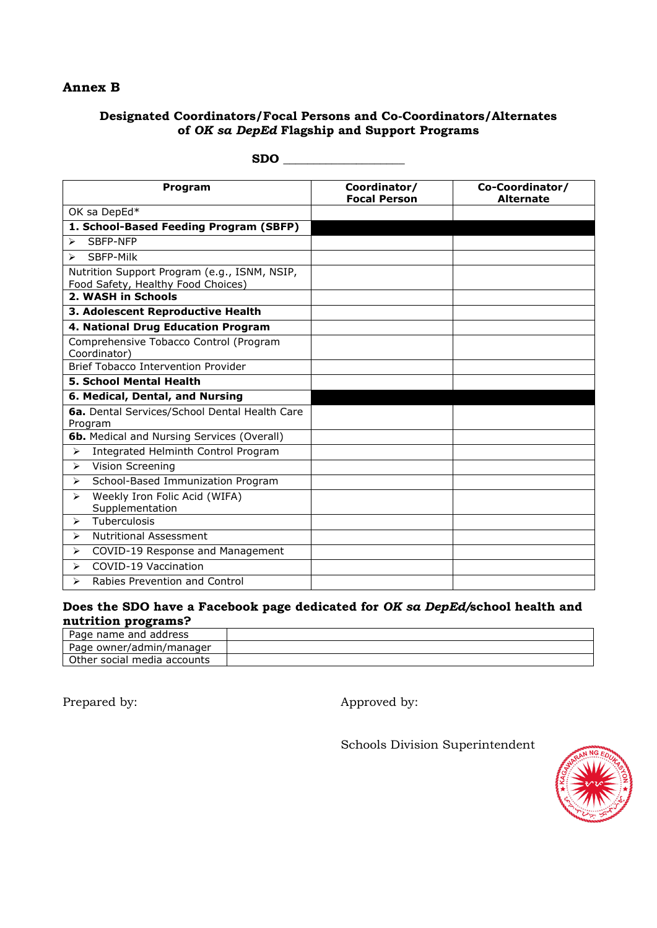## **Annex B**

## **Designated Coordinators/Focal Persons and Co-Coordinators/Alternates of** *OK sa DepEd* **Flagship and Support Programs**

| <b>Program</b>                                                                     | Coordinator/<br><b>Focal Person</b> | Co-Coordinator/<br><b>Alternate</b> |
|------------------------------------------------------------------------------------|-------------------------------------|-------------------------------------|
| OK sa DepEd*                                                                       |                                     |                                     |
| 1. School-Based Feeding Program (SBFP)                                             |                                     |                                     |
| SBFP-NFP<br>$\blacktriangleright$                                                  |                                     |                                     |
| SBFP-Milk<br>$\blacktriangleright$                                                 |                                     |                                     |
| Nutrition Support Program (e.g., ISNM, NSIP,<br>Food Safety, Healthy Food Choices) |                                     |                                     |
| 2. WASH in Schools                                                                 |                                     |                                     |
| 3. Adolescent Reproductive Health                                                  |                                     |                                     |
| 4. National Drug Education Program                                                 |                                     |                                     |
| Comprehensive Tobacco Control (Program<br>Coordinator)                             |                                     |                                     |
| Brief Tobacco Intervention Provider                                                |                                     |                                     |
| <b>5. School Mental Health</b>                                                     |                                     |                                     |
| 6. Medical, Dental, and Nursing                                                    |                                     |                                     |
| 6a. Dental Services/School Dental Health Care<br>Program                           |                                     |                                     |
| <b>6b.</b> Medical and Nursing Services (Overall)                                  |                                     |                                     |
| Integrated Helminth Control Program<br>$\blacktriangleright$                       |                                     |                                     |
| Vision Screening<br>$\blacktriangleright$                                          |                                     |                                     |
| School-Based Immunization Program<br>➤                                             |                                     |                                     |
| Weekly Iron Folic Acid (WIFA)<br>$\blacktriangleright$<br>Supplementation          |                                     |                                     |
| Tuberculosis<br>↘                                                                  |                                     |                                     |
| <b>Nutritional Assessment</b><br>$\blacktriangleright$                             |                                     |                                     |
| COVID-19 Response and Management<br>↘                                              |                                     |                                     |
| COVID-19 Vaccination<br>⋗                                                          |                                     |                                     |
| Rabies Prevention and Control<br>↘                                                 |                                     |                                     |

#### **SDO \_\_\_\_\_\_\_\_\_\_\_\_\_\_\_\_\_\_\_\_**

### **Does the SDO have a Facebook page dedicated for** *OK sa DepEd/***school health and nutrition programs?**

| Page name and address       |  |
|-----------------------------|--|
| Page owner/admin/manager    |  |
| Other social media accounts |  |

Prepared by: <br> Approved by:

Schools Division Superintendent

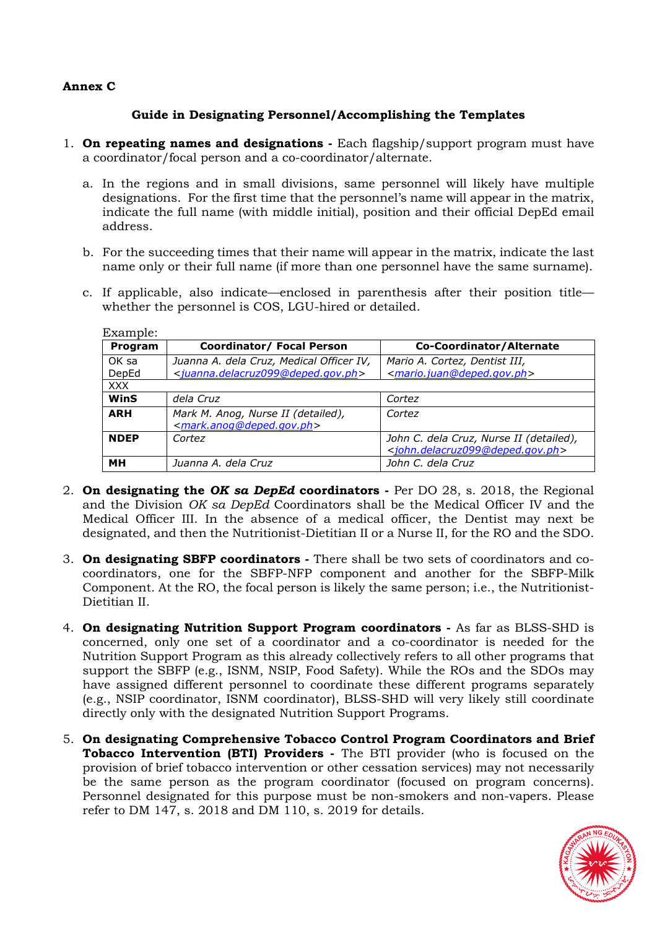#### **Annex C**

### **Guide in Designating Personnel/Accomplishing the Templates**

- 1. **On repeating names and designations** Each flagship/support program must have a coordinator/focal person and a co-coordinator/alternate.
	- a. In the regions and in small divisions, same personnel will likely have multiple designations. For the first time that the personnel's name will appear in the matrix, indicate the full name (with middle initial), position and their official DepEd email address.
	- b. For the succeeding times that their name will appear in the matrix, indicate the last name only or their full name (if more than one personnel have the same surname).
	- c. If applicable, also indicate—enclosed in parenthesis after their position title whether the personnel is COS, LGU-hired or detailed.

| Program     | Coordinator/ Focal Person                                                               | Co-Coordinator/Alternate                                                                                   |
|-------------|-----------------------------------------------------------------------------------------|------------------------------------------------------------------------------------------------------------|
| OK sa       | Juanna A. dela Cruz, Medical Officer IV,                                                | Mario A. Cortez, Dentist III,                                                                              |
| DepEd       | <juanna.delacruz099@deped.gov.ph></juanna.delacruz099@deped.gov.ph>                     | <mario.juan@deped.gov.ph></mario.juan@deped.gov.ph>                                                        |
| <b>XXX</b>  |                                                                                         |                                                                                                            |
| WinS        | dela Cruz                                                                               | Cortez                                                                                                     |
| <b>ARH</b>  | Mark M. Anog, Nurse II (detailed),<br><mark.anog@deped.gov.ph></mark.anog@deped.gov.ph> | Cortez                                                                                                     |
| <b>NDEP</b> | Cortez                                                                                  | John C. dela Cruz, Nurse II (detailed),<br><john.delacruz099@deped.gov.ph></john.delacruz099@deped.gov.ph> |
| MН          | Juanna A. dela Cruz                                                                     | John C. dela Cruz                                                                                          |

Example:

- 2. **On designating the** *OK sa DepEd* **coordinators** Per DO 28, s. 2018, the Regional and the Division *OK sa DepEd* Coordinators shall be the Medical Officer IV and the Medical Officer III. In the absence of a medical officer, the Dentist may next be designated, and then the Nutritionist-Dietitian II or a Nurse II, for the RO and the SDO.
- 3. **On designating SBFP coordinators** There shall be two sets of coordinators and cocoordinators, one for the SBFP-NFP component and another for the SBFP-Milk Component. At the RO, the focal person is likely the same person; i.e., the Nutritionist-Dietitian II.
- 4. **On designating Nutrition Support Program coordinators** As far as BLSS-SHD is concerned, only one set of a coordinator and a co-coordinator is needed for the Nutrition Support Program as this already collectively refers to all other programs that support the SBFP (e.g., ISNM, NSIP, Food Safety). While the ROs and the SDOs may have assigned different personnel to coordinate these different programs separately (e.g., NSIP coordinator, ISNM coordinator), BLSS-SHD will very likely still coordinate directly only with the designated Nutrition Support Programs.
- 5. **On designating Comprehensive Tobacco Control Program Coordinators and Brief Tobacco Intervention (BTI) Providers -** The BTI provider (who is focused on the provision of brief tobacco intervention or other cessation services) may not necessarily be the same person as the program coordinator (focused on program concerns). Personnel designated for this purpose must be non-smokers and non-vapers. Please refer to DM 147, s. 2018 and DM 110, s. 2019 for details.

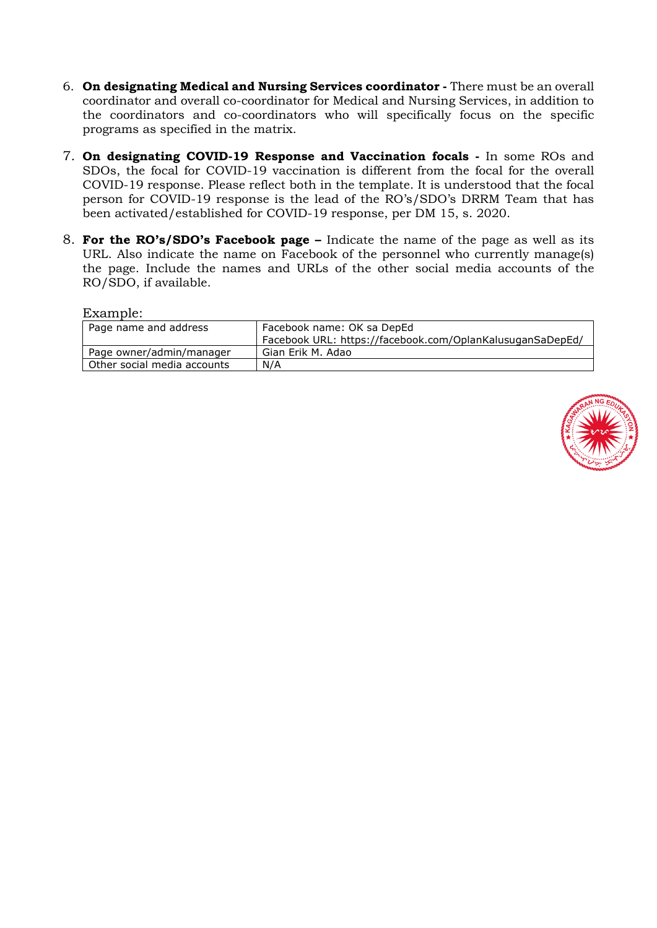- 6. **On designating Medical and Nursing Services coordinator -** There must be an overall coordinator and overall co-coordinator for Medical and Nursing Services, in addition to the coordinators and co-coordinators who will specifically focus on the specific programs as specified in the matrix.
- 7. **On designating COVID-19 Response and Vaccination focals -** In some ROs and SDOs, the focal for COVID-19 vaccination is different from the focal for the overall COVID-19 response. Please reflect both in the template. It is understood that the focal person for COVID-19 response is the lead of the RO's/SDO's DRRM Team that has been activated/established for COVID-19 response, per DM 15, s. 2020.
- 8. **For the RO's/SDO's Facebook page –** Indicate the name of the page as well as its URL. Also indicate the name on Facebook of the personnel who currently manage(s) the page. Include the names and URLs of the other social media accounts of the RO/SDO, if available.

Example:

| Page name and address       | Facebook name: OK sa DepEd                                |  |
|-----------------------------|-----------------------------------------------------------|--|
|                             | Facebook URL: https://facebook.com/OplanKalusuganSaDepEd/ |  |
| Page owner/admin/manager    | Gian Erik M. Adao                                         |  |
| Other social media accounts | N/A                                                       |  |